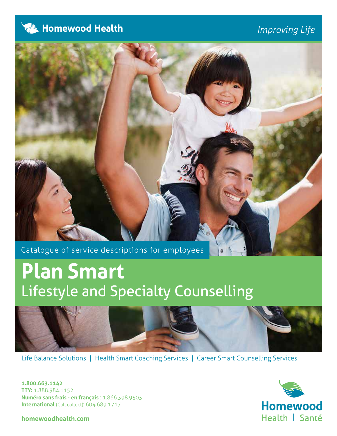

# *Improving Life*



Catalogue of service descriptions for employees

# **Plan Smart** Lifestyle and Specialty Counselling



ö

Life Balance Solutions | Health Smart Coaching Services | Career Smart Counselling Services

**1.800.663.1142 TTY:** 1.888.384.1152 **Numéro sans frais - en français** : 1.866.398.9505 **International** (Call collect): 604.689.1717

**homewoodhealth.com**

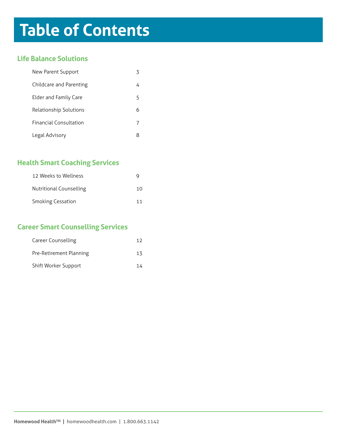# **Table of Contents**

## **Life Balance Solutions**

| New Parent Support            |   |
|-------------------------------|---|
| Childcare and Parenting       |   |
| Elder and Family Care         | 5 |
| Relationship Solutions        | ĥ |
| <b>Financial Consultation</b> |   |
| Legal Advisory                |   |

# **Health Smart Coaching Services**

| 12 Weeks to Wellness     |    |
|--------------------------|----|
| Nutritional Counselling  | 10 |
| <b>Smoking Cessation</b> |    |

# **Career Smart Counselling Services**

| Career Counselling      | 17 |
|-------------------------|----|
| Pre-Retirement Planning | 13 |
| Shift Worker Support    |    |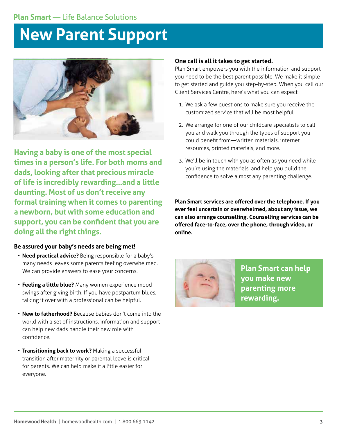# **New Parent Support**



**Having a baby is one of the most special times in a person's life. For both moms and dads, looking after that precious miracle of life is incredibly rewarding…and a little daunting. Most of us don't receive any formal training when it comes to parenting a newborn, but with some education and support, you can be confident that you are doing all the right things.**

### **Be assured your baby's needs are being met!**

- **Need practical advice?** Being responsible for a baby's many needs leaves some parents feeling overwhelmed. We can provide answers to ease your concerns.
- **Feeling a little blue?** Many women experience mood swings after giving birth. If you have postpartum blues, talking it over with a professional can be helpful.
- **New to fatherhood?** Because babies don't come into the world with a set of instructions, information and support can help new dads handle their new role with confidence.
- **Transitioning back to work?** Making a successful transition after maternity or parental leave is critical for parents. We can help make it a little easier for everyone.

### **One call is all it takes to get started.**

Plan Smart empowers you with the information and support you need to be the best parent possible. We make it simple to get started and guide you step-by-step. When you call our Client Services Centre, here's what you can expect:

- 1. We ask a few questions to make sure you receive the customized service that will be most helpful.
- 2. We arrange for one of our childcare specialists to call you and walk you through the types of support you could benefit from—written materials, internet resources, printed materials, and more.
- 3. We'll be in touch with you as often as you need while you're using the materials, and help you build the confidence to solve almost any parenting challenge.



**Plan Smart can help you make new parenting more rewarding.**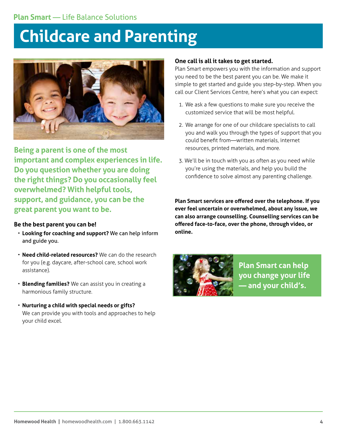# **Childcare and Parenting**



**Being a parent is one of the most important and complex experiences in life. Do you question whether you are doing the right things? Do you occasionally feel overwhelmed? With helpful tools, support, and guidance, you can be the great parent you want to be.**

## **Be the best parent you can be!**

- **Looking for coaching and support?** We can help inform and guide you.
- **Need child-related resources?** We can do the research for you (e.g. daycare, after-school care, school work assistance).
- **Blending families?** We can assist you in creating a harmonious family structure.
- **Nurturing a child with special needs or gifts?** We can provide you with tools and approaches to help your child excel.

## **One call is all it takes to get started.**

Plan Smart empowers you with the information and support you need to be the best parent you can be. We make it simple to get started and guide you step-by-step. When you call our Client Services Centre, here's what you can expect:

- 1. We ask a few questions to make sure you receive the customized service that will be most helpful.
- 2. We arrange for one of our childcare specialists to call you and walk you through the types of support that you could benefit from—written materials, internet resources, printed materials, and more.
- 3. We'll be in touch with you as often as you need while you're using the materials, and help you build the confidence to solve almost any parenting challenge.

**Plan Smart services are offered over the telephone. If you ever feel uncertain or overwhelmed, about any issue, we can also arrange counselling. Counselling services can be offered face-to-face, over the phone, through video, or online.** 



**Plan Smart can help you change your life — and your child's.**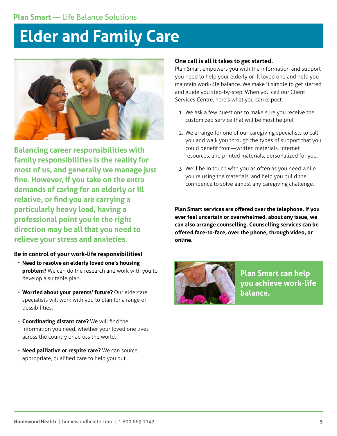# **Elder and Family Care**



**Balancing career responsibilities with family responsibilities is the reality for most of us, and generally we manage just fine. However, if you take on the extra demands of caring for an elderly or ill relative, or find you are carrying a particularly heavy load, having a professional point you in the right direction may be all that you need to relieve your stress and anxieties.**

### **Be in control of your work-life responsibilities!**

- **Need to resolve an elderly loved one's housing problem?** We can do the research and work with you to develop a suitable plan.
- **Worried about your parents' future?** Our eldercare specialists will work with you to plan for a range of possibilities.
- **Coordinating distant care?** We will find the information you need, whether your loved one lives across the country or across the world.
- **Need palliative or respite care?** We can source appropriate, qualified care to help you out.

#### **One call is all it takes to get started.**

Plan Smart empowers you with the information and support you need to help your elderly or ill loved one and help you maintain work-life balance. We make it simple to get started and guide you step-by-step. When you call our Client Services Centre, here's what you can expect:

- 1. We ask a few questions to make sure you receive the customized service that will be most helpful.
- 2. We arrange for one of our caregiving specialists to call you and walk you through the types of support that you could benefit from—written materials, internet resources, and printed materials, personalized for you.
- 3. We'll be in touch with you as often as you need while you're using the materials, and help you build the confidence to solve almost any caregiving challenge.

**Plan Smart services are offered over the telephone. If you ever feel uncertain or overwhelmed, about any issue, we can also arrange counselling. Counselling services can be offered face-to-face, over the phone, through video, or online.**



**Plan Smart can help you achieve work-life balance.**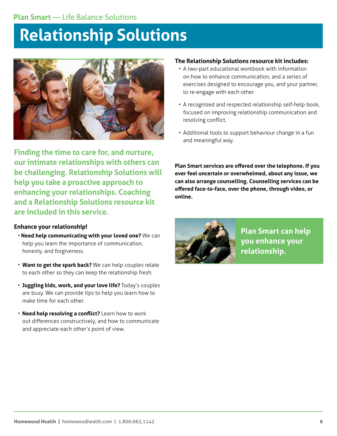# **Relationship Solutions**



**Finding the time to care for, and nurture, our intimate relationships with others can be challenging. Relationship Solutions will help you take a proactive approach to enhancing your relationships. Coaching and a Relationship Solutions resource kit are included in this service.**

## **Enhance your relationship!**

- • **Need help communicating with your loved one?** We can help you learn the importance of communication, honesty, and forgiveness.
- **Want to get the spark back?** We can help couples relate to each other so they can keep the relationship fresh.
- **Juggling kids, work, and your love life?** Today's couples are busy. We can provide tips to help you learn how to make time for each other.
- **Need help resolving a conflict?** Learn how to work out differences constructively, and how to communicate and appreciate each other's point of view.

## **The Relationship Solutions resource kit includes:**

- A two-part educational workbook with information on how to enhance communication, and a series of exercises designed to encourage you, and your partner, to re-engage with each other.
- A recognized and respected relationship self-help book, focused on improving relationship communication and resolving conflict.
- Additional tools to support behaviour change in a fun and meaningful way.



**Plan Smart can help you enhance your relationship.**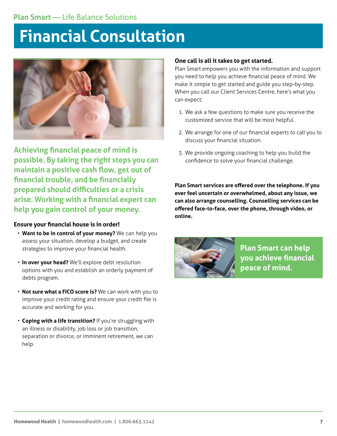# **Financial Consultation**



**Achieving financial peace of mind is possible. By taking the right steps you can maintain a positive cash flow, get out of financial trouble, and be financially prepared should difficulties or a crisis arise. Working with a financial expert can help you gain control of your money.** 

### **Ensure your financial house is in order!**

- **Want to be in control of your money?** We can help you assess your situation, develop a budget, and create strategies to improve your financial health.
- **In over your head?** We'll explore debt resolution options with you and establish an orderly payment of debts program.
- **Not sure what a FICO score is?** We can work with you to improve your credit rating and ensure your credit file is accurate and working for you.
- **Coping with a life transition?** If you're struggling with an illness or disability, job loss or job transition, separation or divorce, or imminent retirement, we can help.

### **One call is all it takes to get started.**

Plan Smart empowers you with the information and support you need to help you achieve financial peace of mind. We make it simple to get started and guide you step-by-step. When you call our Client Services Centre, here's what you can expect:

- 1. We ask a few questions to make sure you receive the customized service that will be most helpful.
- 2. We arrange for one of our financial experts to call you to discuss your financial situation.
- 3. We provide ongoing coaching to help you build the confidence to solve your financial challenge.

**Plan Smart services are offered over the telephone. If you ever feel uncertain or overwhelmed, about any issue, we can also arrange counselling. Counselling services can be offered face-to-face, over the phone, through video, or online.**



**Plan Smart can help you achieve financial peace of mind.**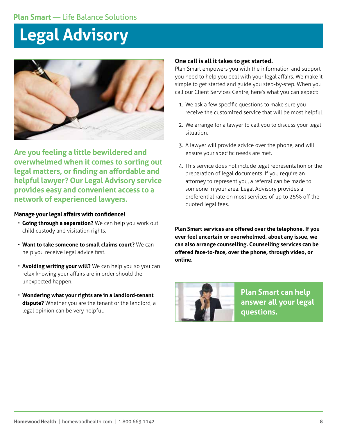# **Legal Advisory**



**Are you feeling a little bewildered and overwhelmed when it comes to sorting out legal matters, or finding an affordable and helpful lawyer? Our Legal Advisory service provides easy and convenient access to a network of experienced lawyers.**

#### **Manage your legal affairs with confidence!**

- **Going through a separation?** We can help you work out child custody and visitation rights.
- **Want to take someone to small claims court?** We can help you receive legal advice first.
- **Avoiding writing your will?** We can help you so you can relax knowing your affairs are in order should the unexpected happen.
- **Wondering what your rights are in a landlord-tenant dispute?** Whether you are the tenant or the landlord, a legal opinion can be very helpful.

#### **One call is all it takes to get started.**

Plan Smart empowers you with the information and support you need to help you deal with your legal affairs. We make it simple to get started and guide you step-by-step. When you call our Client Services Centre, here's what you can expect:

- 1. We ask a few specific questions to make sure you receive the customized service that will be most helpful.
- 2. We arrange for a lawyer to call you to discuss your legal situation.
- 3. A lawyer will provide advice over the phone, and will ensure your specific needs are met.
- 4. This service does not include legal representation or the preparation of legal documents. If you require an attorney to represent you, a referral can be made to someone in your area. Legal Advisory provides a preferential rate on most services of up to 25% off the quoted legal fees.



**Plan Smart can help answer all your legal questions.**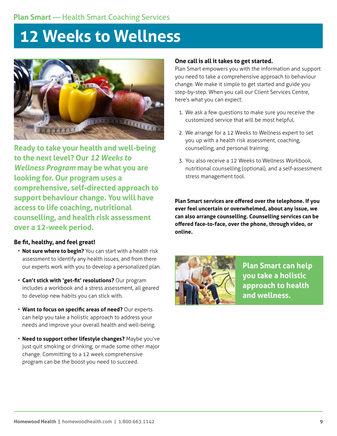# **12 Weeks to Wellness**



**Ready to take your health and well-being to the next level? Our** *12 Weeks to Wellness Program* **may be what you are looking for. Our program uses a comprehensive, self-directed approach to support behaviour change. You will have access to life coaching, nutritional counselling, and health risk assessment over a 12-week period.**

### **Be fit, healthy, and feel great!**

- **Not sure where to begin?** You can start with a health risk assessment to identify any health issues, and from there our experts work with you to develop a personalized plan.
- **Can't stick with 'get-fit' resolutions?** Our program includes a workbook and a stress assessment, all geared to develop new habits you can stick with.
- **Want to focus on specific areas of need?** Our experts can help you take a holistic approach to address your needs and improve your overall health and well-being.
- **Need to support other lifestyle changes?** Maybe you've just quit smoking or drinking, or made some other major change. Committing to a 12 week comprehensive program can be the boost you need to succeed.

#### **One call is all it takes to get started.**

Plan Smart empowers you with the information and support you need to take a comprehensive approach to behaviour change. We make it simple to get started and guide you step-by-step. When you call our Client Services Centre, here's what you can expect:

- 1. We ask a few questions to make sure you receive the customized service that will be most helpful.
- 2. We arrange for a 12 Weeks to Wellness expert to set you up with a health risk assessment, coaching, counselling, and personal training.
- 3. You also receive a 12 Weeks to Wellness Workbook, nutritional counselling (optional), and a self-assessment stress management tool.

**Plan Smart services are offered over the telephone. If you ever feel uncertain or overwhelmed, about any issue, we can also arrange counselling. Counselling services can be offered face-to-face, over the phone, through video, or online.**



**Plan Smart can help you take a holistic approach to health and wellness.**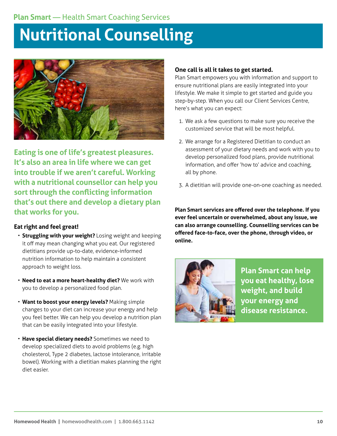# **Nutritional Counselling**



**Eating is one of life's greatest pleasures. It's also an area in life where we can get into trouble if we aren't careful. Working with a nutritional counsellor can help you sort through the conflicting information that's out there and develop a dietary plan that works for you.** 

## **Eat right and feel great!**

- **Struggling with your weight?** Losing weight and keeping it off may mean changing what you eat. Our registered dietitians provide up-to-date, evidence-informed nutrition information to help maintain a consistent approach to weight loss.
- **Need to eat a more heart-healthy diet?** We work with you to develop a personalized food plan.
- **Want to boost your energy levels?** Making simple changes to your diet can increase your energy and help you feel better. We can help you develop a nutrition plan that can be easily integrated into your lifestyle.
- **Have special dietary needs?** Sometimes we need to develop specialized diets to avoid problems (e.g. high cholesterol, Type 2 diabetes, lactose intolerance, irritable bowel). Working with a dietitian makes planning the right diet easier.

## **One call is all it takes to get started.**

Plan Smart empowers you with information and support to ensure nutritional plans are easily integrated into your lifestyle. We make it simple to get started and guide you step-by-step. When you call our Client Services Centre, here's what you can expect:

- 1. We ask a few questions to make sure you receive the customized service that will be most helpful.
- 2. We arrange for a Registered Dietitian to conduct an assessment of your dietary needs and work with you to develop personalized food plans, provide nutritional information, and offer 'how to' advice and coaching, all by phone.
- 3. A dietitian will provide one-on-one coaching as needed.

**Plan Smart services are offered over the telephone. If you ever feel uncertain or overwhelmed, about any issue, we can also arrange counselling. Counselling services can be offered face-to-face, over the phone, through video, or online.** 



**Plan Smart can help you eat healthy, lose weight, and build your energy and disease resistance.**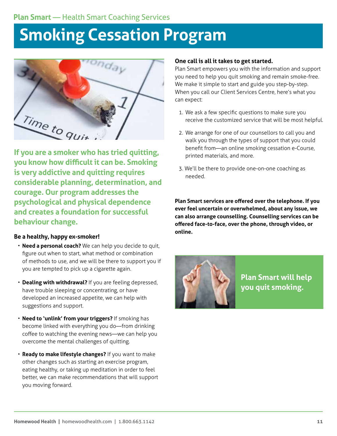# **Smoking Cessation Program**

<sup>ronday</sup> Time to quit

**If you are a smoker who has tried quitting, you know how difficult it can be. Smoking is very addictive and quitting requires considerable planning, determination, and courage. Our program addresses the psychological and physical dependence and creates a foundation for successful behaviour change.** 

## **Be a healthy, happy ex-smoker!**

- **Need a personal coach?** We can help you decide to quit, figure out when to start, what method or combination of methods to use, and we will be there to support you if you are tempted to pick up a cigarette again.
- **Dealing with withdrawal?** If you are feeling depressed, have trouble sleeping or concentrating, or have developed an increased appetite, we can help with suggestions and support.
- **Need to 'unlink' from your triggers?** If smoking has become linked with everything you do—from drinking coffee to watching the evening news—we can help you overcome the mental challenges of quitting.
- **Ready to make lifestyle changes?** If you want to make other changes such as starting an exercise program, eating healthy, or taking up meditation in order to feel better, we can make recommendations that will support you moving forward.

### **One call is all it takes to get started.**

Plan Smart empowers you with the information and support you need to help you quit smoking and remain smoke-free. We make it simple to start and guide you step-by-step. When you call our Client Services Centre, here's what you can expect:

- 1. We ask a few specific questions to make sure you receive the customized service that will be most helpful.
- 2. We arrange for one of our counsellors to call you and walk you through the types of support that you could benefit from—an online smoking cessation e-Course, printed materials, and more.
- 3. We'll be there to provide one-on-one coaching as needed.

**Plan Smart services are offered over the telephone. If you ever feel uncertain or overwhelmed, about any issue, we can also arrange counselling. Counselling services can be offered face-to-face, over the phone, through video, or online.** 



**Plan Smart will help you quit smoking.**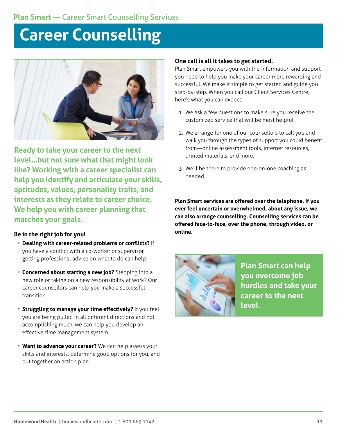# **Career Counselling**



**Ready to take your career to the next level…but not sure what that might look like? Working with a career specialist can help you identify and articulate your skills, aptitudes, values, personality traits, and interests as they relate to career choice. We help you with career planning that matches your goals.**

### **Be in the right job for you!**

- **Dealing with career-related problems or conflicts?** If you have a conflict with a co-worker or supervisor, getting professional advice on what to do can help.
- **Concerned about starting a new job?** Stepping into a new role or taking on a new responsibility at work? Our career counsellors can help you make a successful transition.
- **Struggling to manage your time effectively?** If you feel you are being pulled in all different directions and not accomplishing much, we can help you develop an effective time management system.
- **Want to advance your career?** We can help assess your skills and interests, determine good options for you, and put together an action plan.

## **One call is all it takes to get started.**

Plan Smart empowers you with the information and support you need to help you make your career more rewarding and successful. We make it simple to get started and guide you step-by-step. When you call our Client Services Centre, here's what you can expect:

- 1. We ask a few questions to make sure you receive the customized service that will be most helpful.
- 2. We arrange for one of our counsellors to call you and walk you through the types of support you could benefit from—online assessment tools, internet resources, printed materials, and more.
- 3. We'll be there to provide one-on-one coaching as needed.

**Plan Smart services are offered over the telephone. If you ever feel uncertain or overwhelmed, about any issue, we can also arrange counselling. Counselling services can be offered face-to-face, over the phone, through video, or online.**



**Plan Smart can help you overcome job hurdles and take your career to the next level.**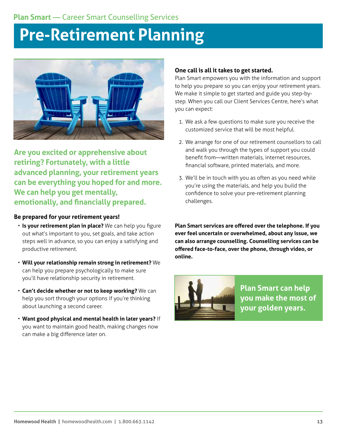# **Pre-Retirement Planning**



**Are you excited or apprehensive about retiring? Fortunately, with a little advanced planning, your retirement years can be everything you hoped for and more. We can help you get mentally, emotionally, and financially prepared.**

### **Be prepared for your retirement years!**

- **Is your retirement plan in place?** We can help you figure out what's important to you, set goals, and take action steps well in advance, so you can enjoy a satisfying and productive retirement.
- **Will your relationship remain strong in retirement?** We can help you prepare psychologically to make sure you'll have relationship security in retirement.
- **Can't decide whether or not to keep working?** We can help you sort through your options if you're thinking about launching a second career.
- **Want good physical and mental health in later years?** If you want to maintain good health, making changes now can make a big difference later on.

### **One call is all it takes to get started.**

Plan Smart empowers you with the information and support to help you prepare so you can enjoy your retirement years. We make it simple to get started and guide you step-bystep. When you call our Client Services Centre, here's what you can expect:

- 1. We ask a few questions to make sure you receive the customized service that will be most helpful.
- 2. We arrange for one of our retirement counsellors to call and walk you through the types of support you could benefit from—written materials, internet resources, financial software, printed materials, and more.
- 3. We'll be in touch with you as often as you need while you're using the materials, and help you build the confidence to solve your pre-retirement planning challenges.



**Plan Smart can help you make the most of your golden years.**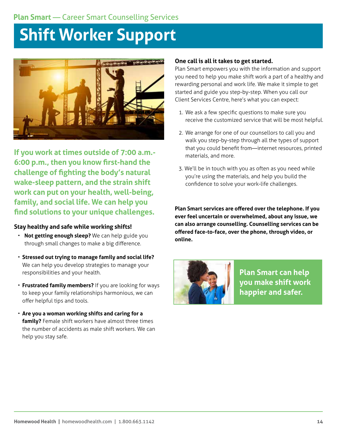# **Plan Smart** — Career Smart Counselling Services

# **Shift Worker Support**



**If you work at times outside of 7:00 a.m.- 6:00 p.m., then you know first-hand the challenge of fighting the body's natural wake-sleep pattern, and the strain shift work can put on your health, well-being, family, and social life. We can help you find solutions to your unique challenges.** 

### **Stay healthy and safe while working shifts!**

- **Not getting enough sleep?** We can help guide you through small changes to make a big difference.
- **Stressed out trying to manage family and social life?** We can help you develop strategies to manage your responsibilities and your health.
- **Frustrated family members?** If you are looking for ways to keep your family relationships harmonious, we can offer helpful tips and tools.
- **Are you a woman working shifts and caring for a family?** Female shift workers have almost three times the number of accidents as male shift workers. We can help you stay safe.

### **One call is all it takes to get started.**

Plan Smart empowers you with the information and support you need to help you make shift work a part of a healthy and rewarding personal and work life. We make it simple to get started and guide you step-by-step. When you call our Client Services Centre, here's what you can expect:

- 1. We ask a few specific questions to make sure you receive the customized service that will be most helpful.
- 2. We arrange for one of our counsellors to call you and walk you step-by-step through all the types of support that you could benefit from—internet resources, printed materials, and more.
- 3. We'll be in touch with you as often as you need while you're using the materials, and help you build the confidence to solve your work-life challenges.

**Plan Smart services are offered over the telephone. If you ever feel uncertain or overwhelmed, about any issue, we can also arrange counselling. Counselling services can be offered face-to-face, over the phone, through video, or online.** 



**Plan Smart can help you make shift work happier and safer.**